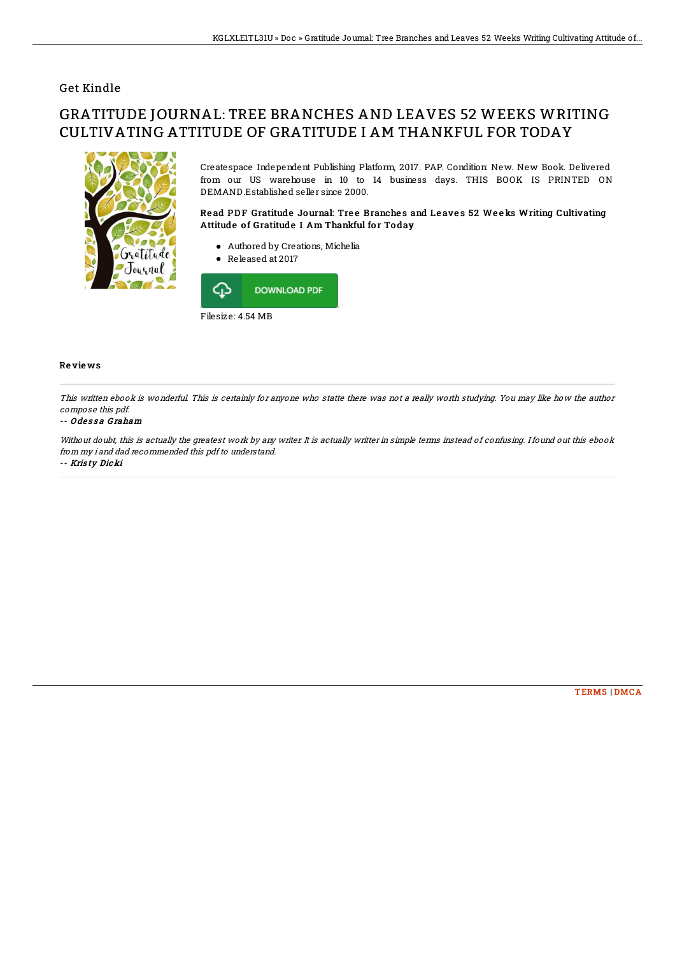## Get Kindle

# GRATITUDE JOURNAL: TREE BRANCHES AND LEAVES 52 WEEKS WRITING CULTIVATING ATTITUDE OF GRATITUDE I AM THANKFUL FOR TODAY



Createspace Independent Publishing Platform, 2017. PAP. Condition: New. New Book. Delivered from our US warehouse in 10 to 14 business days. THIS BOOK IS PRINTED ON DEMAND.Established seller since 2000.

### Read PDF Gratitude Journal: Tree Branches and Leaves 52 Weeks Writing Cultivating Attitude of Gratitude I Am Thankful for Today

- Authored by Creations, Michelia
- Released at 2017



#### Re vie ws

This written ebook is wonderful. This is certainly for anyone who statte there was not <sup>a</sup> really worth studying. You may like how the author compose this pdf.

#### -- O de s s a G raham

Without doubt, this is actually the greatest work by any writer. It is actually writter in simple terms instead of confusing. I found out this ebook from my i and dad recommended this pdf to understand.

-- Kris ty Dicki